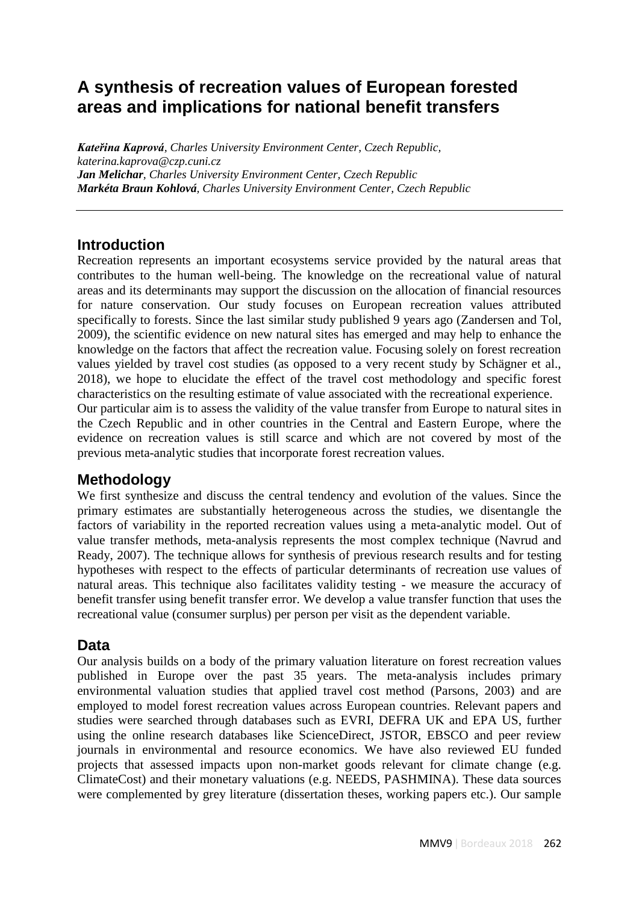# **A synthesis of recreation values of European forested areas and implications for national benefit transfers**

*Kateřina Kaprová, Charles University Environment Center, Czech Republic, katerina.kaprova@czp.cuni.cz Jan Melichar, Charles University Environment Center, Czech Republic Markéta Braun Kohlová, Charles University Environment Center, Czech Republic*

#### **Introduction**

Recreation represents an important ecosystems service provided by the natural areas that contributes to the human well-being. The knowledge on the recreational value of natural areas and its determinants may support the discussion on the allocation of financial resources for nature conservation. Our study focuses on European recreation values attributed specifically to forests. Since the last similar study published 9 years ago (Zandersen and Tol, 2009), the scientific evidence on new natural sites has emerged and may help to enhance the knowledge on the factors that affect the recreation value. Focusing solely on forest recreation values yielded by travel cost studies (as opposed to a very recent study by Schägner et al., 2018), we hope to elucidate the effect of the travel cost methodology and specific forest characteristics on the resulting estimate of value associated with the recreational experience. Our particular aim is to assess the validity of the value transfer from Europe to natural sites in

the Czech Republic and in other countries in the Central and Eastern Europe, where the evidence on recreation values is still scarce and which are not covered by most of the previous meta-analytic studies that incorporate forest recreation values.

## **Methodology**

We first synthesize and discuss the central tendency and evolution of the values. Since the primary estimates are substantially heterogeneous across the studies, we disentangle the factors of variability in the reported recreation values using a meta-analytic model. Out of value transfer methods, meta-analysis represents the most complex technique (Navrud and Ready, 2007). The technique allows for synthesis of previous research results and for testing hypotheses with respect to the effects of particular determinants of recreation use values of natural areas. This technique also facilitates validity testing - we measure the accuracy of benefit transfer using benefit transfer error. We develop a value transfer function that uses the recreational value (consumer surplus) per person per visit as the dependent variable.

#### **Data**

Our analysis builds on a body of the primary valuation literature on forest recreation values published in Europe over the past 35 years. The meta-analysis includes primary environmental valuation studies that applied travel cost method (Parsons, 2003) and are employed to model forest recreation values across European countries. Relevant papers and studies were searched through databases such as EVRI, DEFRA UK and EPA US, further using the online research databases like ScienceDirect, JSTOR, EBSCO and peer review journals in environmental and resource economics. We have also reviewed EU funded projects that assessed impacts upon non-market goods relevant for climate change (e.g. ClimateCost) and their monetary valuations (e.g. NEEDS, PASHMINA). These data sources were complemented by grey literature (dissertation theses, working papers etc.). Our sample